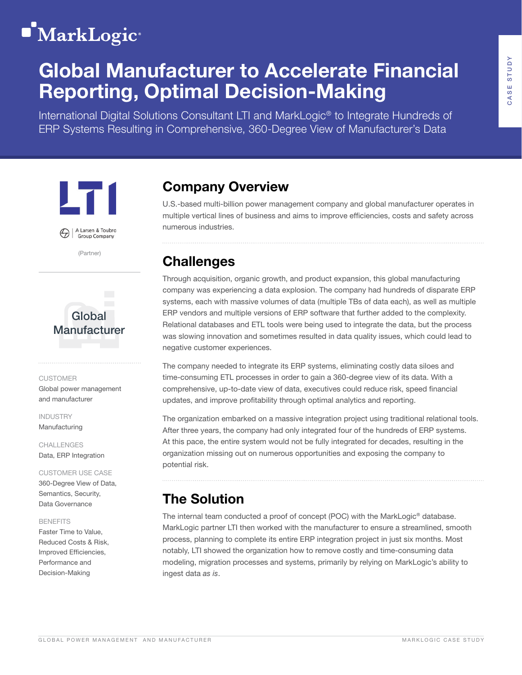# **MarkLogic**<sup>®</sup>

# Global Manufacturer to Accelerate Financial Reporting, Optimal Decision-Making

International Digital Solutions Consultant LTI and MarkLogic® to Integrate Hundreds of ERP Systems Resulting in Comprehensive, 360-Degree View of Manufacturer's Data



A Larsen & Toubro

(Partner)



### CUSTOMER

Global power management and manufacturer

INDUSTRY Manufacturing

CHALLENGES Data, ERP Integration

### CUSTOMER USE CASE 360-Degree View of Data, Semantics, Security, Data Governance

### BENEFITS

Faster Time to Value, Reduced Costs & Risk, Improved Efficiencies, Performance and Decision-Making

# Company Overview

U.S.-based multi-billion power management company and global manufacturer operates in multiple vertical lines of business and aims to improve efficiencies, costs and safety across numerous industries.

## **Challenges**

Through acquisition, organic growth, and product expansion, this global manufacturing company was experiencing a data explosion. The company had hundreds of disparate ERP systems, each with massive volumes of data (multiple TBs of data each), as well as multiple ERP vendors and multiple versions of ERP software that further added to the complexity. Relational databases and ETL tools were being used to integrate the data, but the process was slowing innovation and sometimes resulted in data quality issues, which could lead to negative customer experiences.

The company needed to integrate its ERP systems, eliminating costly data siloes and time-consuming ETL processes in order to gain a 360-degree view of its data. With a comprehensive, up-to-date view of data, executives could reduce risk, speed financial updates, and improve profitability through optimal analytics and reporting.

The organization embarked on a massive integration project using traditional relational tools. After three years, the company had only integrated four of the hundreds of ERP systems. At this pace, the entire system would not be fully integrated for decades, resulting in the organization missing out on numerous opportunities and exposing the company to potential risk.

# The Solution

The internal team conducted a proof of concept (POC) with the MarkLogic® database. MarkLogic partner LTI then worked with the manufacturer to ensure a streamlined, smooth process, planning to complete its entire ERP integration project in just six months. Most notably, LTI showed the organization how to remove costly and time-consuming data modeling, migration processes and systems, primarily by relying on MarkLogic's ability to ingest data *as is*.